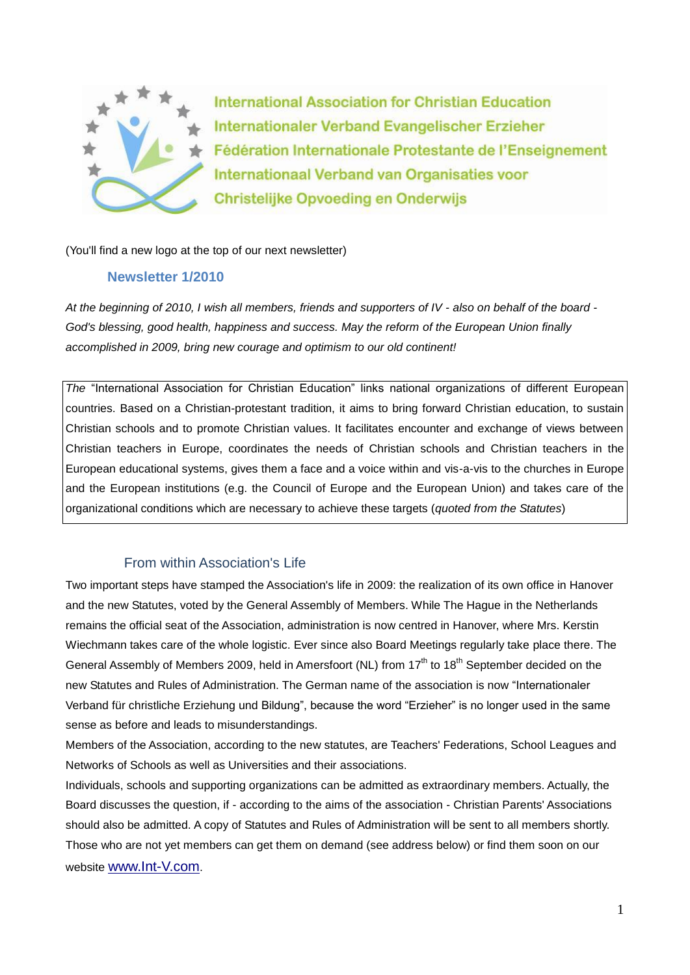

**International Association for Christian Education** Internationaler Verband Evangelischer Erzieher Fédération Internationale Protestante de l'Enseignement Internationaal Verband van Organisaties voor **Christelijke Opvoeding en Onderwijs** 

(You'll find a new logo at the top of our next newsletter)

### **Newsletter 1/2010**

*At the beginning of 2010, I wish all members, friends and supporters of IV - also on behalf of the board - God's blessing, good health, happiness and success. May the reform of the European Union finally accomplished in 2009, bring new courage and optimism to our old continent!*

*The* "International Association for Christian Education" links national organizations of different European countries. Based on a Christian-protestant tradition, it aims to bring forward Christian education, to sustain Christian schools and to promote Christian values. It facilitates encounter and exchange of views between Christian teachers in Europe, coordinates the needs of Christian schools and Christian teachers in the European educational systems, gives them a face and a voice within and vis-a-vis to the churches in Europe and the European institutions (e.g. the Council of Europe and the European Union) and takes care of the organizational conditions which are necessary to achieve these targets (*quoted from the Statutes*)

# From within Association's Life

Two important steps have stamped the Association's life in 2009: the realization of its own office in Hanover and the new Statutes, voted by the General Assembly of Members. While The Hague in the Netherlands remains the official seat of the Association, administration is now centred in Hanover, where Mrs. Kerstin Wiechmann takes care of the whole logistic. Ever since also Board Meetings regularly take place there. The General Assembly of Members 2009, held in Amersfoort (NL) from 17<sup>th</sup> to 18<sup>th</sup> September decided on the new Statutes and Rules of Administration. The German name of the association is now "Internationaler Verband für christliche Erziehung und Bildung", because the word "Erzieher" is no longer used in the same sense as before and leads to misunderstandings.

Members of the Association, according to the new statutes, are Teachers' Federations, School Leagues and Networks of Schools as well as Universities and their associations.

Individuals, schools and supporting organizations can be admitted as extraordinary members. Actually, the Board discusses the question, if - according to the aims of the association - Christian Parents' Associations should also be admitted. A copy of Statutes and Rules of Administration will be sent to all members shortly. Those who are not yet members can get them on demand (see address below) or find them soon on our website [www.Int-V.com](http://www.int-v.com/).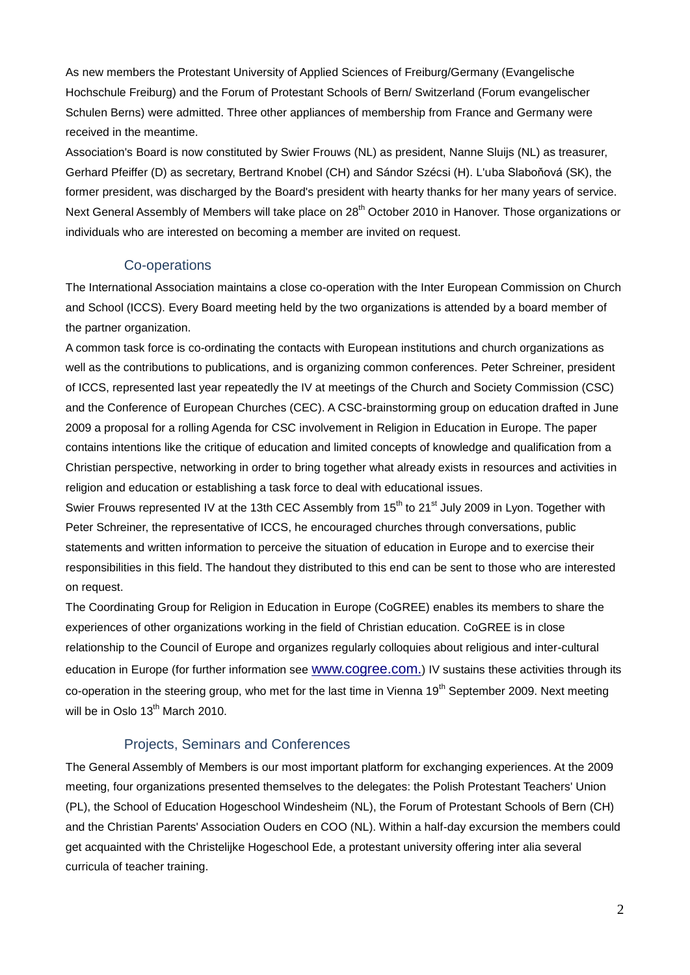As new members the Protestant University of Applied Sciences of Freiburg/Germany (Evangelische Hochschule Freiburg) and the Forum of Protestant Schools of Bern/ Switzerland (Forum evangelischer Schulen Berns) were admitted. Three other appliances of membership from France and Germany were received in the meantime.

Association's Board is now constituted by Swier Frouws (NL) as president, Nanne Sluijs (NL) as treasurer, Gerhard Pfeiffer (D) as secretary, Bertrand Knobel (CH) and Sándor Szécsi (H). L'uba Slaboňová (SK), the former president, was discharged by the Board's president with hearty thanks for her many years of service. Next General Assembly of Members will take place on 28<sup>th</sup> October 2010 in Hanover. Those organizations or individuals who are interested on becoming a member are invited on request.

## Co-operations

The International Association maintains a close co-operation with the Inter European Commission on Church and School (ICCS). Every Board meeting held by the two organizations is attended by a board member of the partner organization.

A common task force is co-ordinating the contacts with European institutions and church organizations as well as the contributions to publications, and is organizing common conferences. Peter Schreiner, president of ICCS, represented last year repeatedly the IV at meetings of the Church and Society Commission (CSC) and the Conference of European Churches (CEC). A CSC-brainstorming group on education drafted in June 2009 a proposal for a rolling Agenda for CSC involvement in Religion in Education in Europe. The paper contains intentions like the critique of education and limited concepts of knowledge and qualification from a Christian perspective, networking in order to bring together what already exists in resources and activities in religion and education or establishing a task force to deal with educational issues.

Swier Frouws represented IV at the 13th CEC Assembly from 15<sup>th</sup> to 21<sup>st</sup> July 2009 in Lyon. Together with Peter Schreiner, the representative of ICCS, he encouraged churches through conversations, public statements and written information to perceive the situation of education in Europe and to exercise their responsibilities in this field. The handout they distributed to this end can be sent to those who are interested on request.

The Coordinating Group for Religion in Education in Europe (CoGREE) enables its members to share the experiences of other organizations working in the field of Christian education. CoGREE is in close relationship to the Council of Europe and organizes regularly colloquies about religious and inter-cultural education in Europe (for further information see [www.cogree.com.](http://www.cogree.com/)) IV sustains these activities through its co-operation in the steering group, who met for the last time in Vienna 19<sup>th</sup> September 2009. Next meeting will be in Oslo 13<sup>th</sup> March 2010.

# Projects, Seminars and Conferences

The General Assembly of Members is our most important platform for exchanging experiences. At the 2009 meeting, four organizations presented themselves to the delegates: the Polish Protestant Teachers' Union (PL), the School of Education Hogeschool Windesheim (NL), the Forum of Protestant Schools of Bern (CH) and the Christian Parents' Association Ouders en COO (NL). Within a half-day excursion the members could get acquainted with the Christelijke Hogeschool Ede, a protestant university offering inter alia several curricula of teacher training.